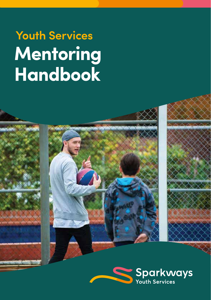## **Mentoring Handbook Youth Services**

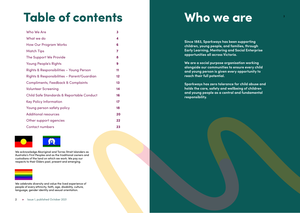# **Table of contents**

| Who We Are                                  | 3  |
|---------------------------------------------|----|
| What we do                                  | 4  |
| <b>How Our Program Works</b>                | 6  |
| <b>Match Tips</b>                           | 7  |
| The Support We Provide                      | 8  |
| <b>Young People's Rights</b>                | 9  |
| Rights & Responsibilities - Young Person    | 11 |
| Rights & Responsibilities – Parent/Guardian | 12 |
| Compliments, Feedback & Complaints          | 13 |
| <b>Volunteer Screening</b>                  | 14 |
| Child Safe Standards & Reportable Conduct   | 16 |
| <b>Key Policy Information</b>               | 17 |
| Young person safety policy                  | 18 |
| <b>Additional resources</b>                 | 20 |
| Other support agencies                      | 22 |
| <b>Contact numbers</b>                      | 23 |



We acknowledge Aboriginal and Torres Strait Islanders as Australia's First Peoples and as the traditional owners and custodians of the land on which we work. We pay our respects to their Elders past, present and emerging.



We celebrate diversity and value the lived experience of people of every ethnicity, faith, age, disability, culture, language, gender identity and sexual orientation.

#### 2 ► Issue 1, published October 2021

## **Who we are**

**Since 1883, Sparkways has been supporting children, young people, and families, through Early Learning, Mentoring and Social Enterprise opportunities all across Victoria.**

**We are a social purpose organisation working alongside our communities to ensure every child and young person is given every opportunity to reach their full potential.**

**Sparkways has zero tolerance for child abuse and holds the care, safety and wellbeing of children and young people as a central and fundamental responsibility.**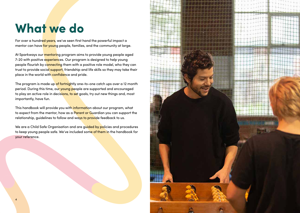## **What we do**

For over a hundred years, we've seen first hand the powerful impact a mentor can have for young people, families, and the community at large.

At Sparkways our mentoring program aims to provide young people aged 7-20 with positive experiences. Our program is designed to help young people flourish by connecting them with a positive role model, who they can trust to provide social support, friendship and life skills so they may take their place in the world with confidence and pride.

The program is made up of fortnightly one-to-one catch ups over a 12 month period. During this time, our young people are supported and encouraged to play an active role in decisions, to set goals, try out new things and, most importantly, have fun.

This handbook will provide you with information about our program, what to expect from the mentor, how as a Parent or Guardian you can support the relationship, guidelines to follow and ways to provide feedback to us.

We are a Child Safe Organisation and are guided by policies and procedures to keep young people safe. We've included some of them in the handbook for your reference.

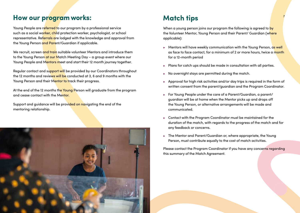## **How our program works:**

Young People are referred to our program by a professional service such as a social worker, child protection worker, psychologist, or school representative. Referrals are lodged with the knowledge and approval from the Young Person and Parent/Guardian if applicable.

We recruit, screen and train suitable volunteer Mentors and introduce them to the Young Person at our Match Meeting Day – a group event where our Young People and Mentors meet and start their 12 month journey together.

Regular contact and support will be provided by our Coordinators throughout the 12 months and reviews will be conducted at 3, 6 and 9 months with the Young Person and their Mentor to track their progress.

At the end of the 12 months the Young Person will graduate from the program and cease contact with the Mentor.

Support and guidance will be provided on navigating the end of the mentoring relationship.



## **Match tips**

When a young person joins our program the following is agreed to by the Volunteer Mentor, Young Person and their Parent/ Guardian (where applicable):

7

- ► Mentors will have weekly communication with the Young Person, as well as face to face contact, for a minimum of 2 or more hours, twice a month for a 12-month period
- ► Plans for catch ups should be made in consultation with all parties.
- ► No overnight stays are permitted during the match.
- ► Approval for high risk activities and/or day trips is required in the form of written consent from the parent/guardian and the Program Coordinator.
- ► For Young People under the care of a Parent/Guardian, a parent/ guardian will be at home when the Mentor picks up and drops off the Young Person, or alternative arrangements will be made and communicated.
- ► Contact with the Program Coordinator must be maintained for the duration of the match, with regards to the progress of the match and for any feedback or concerns.
- ► The Mentor and Parent/Guardian or, where appropriate, the Young Person, must contribute equally to the cost of match activities.

Please contact the Program Coordinator if you have any concerns regarding this summary of the Match Agreement.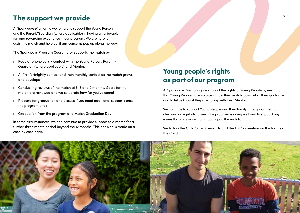## **The support we provide**

At Sparkways Mentoring we're here to support the Young Person and the Parent/Guardian (where applicable) in having an enjoyable, fun and rewarding experience in our program. We are here to assist the match and help out if any concerns pop up along the way.

The Sparkways Program Coordinator supports the match by:

- ► Regular phone calls / contact with the Young Person, Parent / Guardian (where applicable) and Mentor.
- ► At first fortnightly contact and then monthly contact as the match grows and develops.
- ► Conducting reviews of the match at 3, 6 and 9 months. Goals for the match are reviewed and we celebrate how far you've come!
- ► Prepare for graduation and discuss if you need additional supports once the program ends
- ► Graduation from the program at a Match Graduation Day

In some circumstances, we can continue to provide support to a match for a further three month period beyond the 12 months. This decision is made on a case by case basis.

## **Young people's rights as part of our program**

At Sparkways Mentoring we support the rights of Young People by ensuring that Young People have a voice in how their match looks, what their goals are and to let us know if they are happy with their Mentor.

We continue to support Young People and their family throughout the match, checking in regularly to see if the program is going well and to support any issues that may arise that impact upon the match.

We follow the Child Safe Standards and the UN Convention on the Rights of the Child.

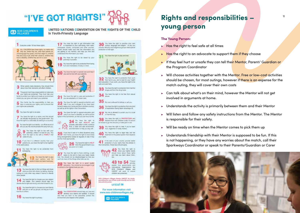## "I'VE GOT RIGHTS!"

### **CD** SOS CHILDREN'S

UNITED NATIONS CONVENTION ON THE RIGHTS OF THE CHILD In Youth-Friendly Language

#### Everyone under 18 has these rights

2 ALL CHLDFEN have these rights, no matter who what bees axes they speak, what their relation is, whather they are a how or cirt, what their culture is, whether they have a disability whether they are rich or poor



3 When adults make decisions, they should think about how their decisions will affect children.

The government has a responsibility to make sure The government has a responsibility to make sum family to protect your rights and create an anvironment where you can grow and reach your potential.

S Your family has the responsibility to help you your rights are protected.

#### 6 You have the notri to be alive.

T You have the right to a name, and this should<br>be officially recognized by the government. You<br>have the right to a nationality its belong to a country). You have the right to a name, and this should have the right to a nationality (to belong to a country).

You have the right to an identity - an official record of B You have the right to an identity - an official record of<br>who you are. No one should take this away from you.

Thu have the right to five with your have the right to live with a PAMILY that cares for you

If you live in a different country than your 10 If you live in a different country than your in the same place.

You have the right to be protected from 11 You have t

> 12 You have the right to give adults to faten and take it seriously

You have the right to find out things and share what you think with others, by taking, drawing writing or in any other way unless it harms or offends cellular managers.

14 You have the right to choose your own religion decide what is right and enong, and what is best for you.

15 Tout ave the right to choose your own friends harmful to others

16 You have the right to privacy

per, books, computers and other sources Adults should make sure that the information you are getting is not harmful, and help you find and understand the information you need. 18 You have the right to be mixed by your

You have the right to be protected from being hurt and mistreated, in body or mind.

17 To have the right to get information that



W.

. You have the right to care and protection if 21 You have the right to care and p

You have the right to special protection and 22 You have the right to special protection and<br>forced to keep if you are a retugee of you have been<br>forced to keep your home and her in another country. forced to leave your home and twe in another country). as well as all the rights in this Convention.

23 You have the right to special education and rights in this Convention, so that you can live a full life.

> 24 You have the Aght to possible, sale water to chick, cutoticus 13 food, a clean and rate environment. and information to help you stay well.

If you live in care or in other situations away 25 Fyou live in care or in other situations away living arrangements looked at regularly to see if they are the mixt appropriate.



You have the right to food, clothing, a safe 27 You have the light to food, oldthing, a safe met. You should not be disadvantaged so that you can't do many of the things other kids can do

28 You have the right to a good quality to achool to the highest level you can.



Your EDUCATION should help you use and 29 develop your talents and abilities. It should also help you learn to live peacefully, protect the environment and respect other people.

30 That have the right to practice your own choose. Minority and indigenous groups need special protection of this right.

You have the right to protection from work 32 You have the right to protection from work and education. If you work, you have the right to be node went move today.

33 Suitave the right to protection from harmful

34 You have the right to be bee from sexual

- 35 No one is allowed to kidnep or sell you.
- 36 You have the right to protection from any ki You have the right to protection from any kind

37 No one is allowed to punish you in a cruel

You have the right to PROTECTION and 38 Tou have the right to PROTECTION and be forced to go into the army or take part in war.

39 You have the right to help if you You have the right to help if you've been

You have the right to legal help and tail 40 You have the right to legal help and far your rights







100 Children's Villages thereis UNICEF for kindly permitting the use of their youth-friendly text for this

unicef @

For more information visit www.sos-childrensvillages.org

**ED** SOS CHILDREN'S

## <sup>11</sup> **Rights and responsibilities – young person**

#### **The Young Person:**

- ► Has the right to feel safe at all times
- $\blacktriangleright$  Has the right to an advocate to support them if they choose
- ► If they feel hurt or unsafe they can tell their Mentor, Parent/ Guardian or the Program Coordinator
- ► Will choose activities together with the Mentor. Free or low-cost activities should be chosen, for most outings, however if there is an expense for the match outing, they will cover their own costs
- ► Can talk about what's on their mind, however the Mentor will not get involved in arguments at home.
- ► Understands the activity is primarily between them and their Mentor
- ► Will listen and follow any safety instructions from the Mentor. The Mentor is responsible for their safety.
- ► Will be ready on time when the Mentor comes to pick them up
- ► Understands friendship with their Mentor is supposed to be fun. If this is not happening, or they have any worries about the match, call their Sparkways Coordinator or speak to their Parents/Guardian or Carer



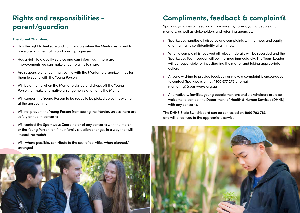# **parent/guardian**

### **The Parent/Guardian:**

- ► Has the right to feel safe and comfortable when the Mentor visits and to have a say in the match and how it progresses
- ► Has a right to a quality service and can inform us if there are improvements we can make or complaints to share
- ► Are responsible for communicating with the Mentor to organize times for them to spend with the Young Person
- ► Will be at home when the Mentor picks up and drops off the Young Person, or make alternative arrangements and notify the Mentor
- ► Will support the Young Person to be ready to be picked up by the Mentor at the agreed time.
- ► Will not prevent the Young Person from seeing the Mentor, unless there are safety or health concerns
- ► Will contact the Sparkways Coordinator of any concerns with the match or the Young Person, or if their family situation changes in a way that will impact the match
- ► Will, where possible, contribute to the cost of activities when planned/ arranged



## <sup>13</sup> **Rights and responsibilities - Compliments, feedback & complaints**

Sparkways values all feedback from parents, carers, young people and mentors, as well as stakeholders and referring agencies.

- ► Sparkways handles all disputes and complaints with fairness and equity and maintains confidentiality at all times.
- ► When a complaint is received all relevant details will be recorded and the Sparkways Team Leader will be informed immediately. The Team Leader will be responsible for investigating the matter and taking appropriate action.
- ► Anyone wishing to provide feedback or make a complaint is encouraged to contact Sparkways on tel: 1300 677 275 or email: mentoring@sparkways.org.au
- ► Alternatively, families, young people,mentors and stakeholders are also welcome to contact the Department of Health & Human Services (DHHS) with any concerns.

The DHHS State Switchboard can be contacted on **1800 783 783** and will direct you to the appropriate service.

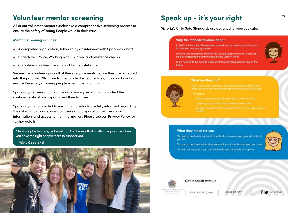## **Volunteer mentor screening**

All of our volunteer mentors undertake a comprehensive screening process to ensure the safety of Young People while in their care.

#### **Mentor Screening includes:**

- ► A completed application, followed by an interview with Sparkways staff
- Undertake Police, Working with Children, and reference checks
- ► Complete Volunteer training and Home safety check

We ensure volunteers pass all of these requirements before they are accepted into the program. Staff are trained in child safe practices, including how to ensure the safety of young people when making a match.

Sparkways ensures compliance with privacy legislation to protect the confidentiality of participants and their families.

Sparkways is committed to ensuring individuals are fully informed regarding the collection, storage, use, disclosure and disposal of their personal information, and access to that information. Please see our Privacy Policy for further details.

"Be strong, be fearless, be beautiful. And believe that anything is possible when you have the right people there to support you."

#### **– Misty Copeland**



## <sup>15</sup> **Speak up - it's your right**

Victoria's Child Safe Standards are designed to keep you safe.

#### Why the standards came about

In 2013, the Victorian Government looked at how safe organisations are for children and young people.

It found that sometimes children and young people have not been kept safe by organisations and the adults who work in them.

More needed to be done to keep children and young people safe in the future.



#### What are they for?

dance schools and other organisations have to keep you safe.

- Only choosing adults who are safe to work with you.
- 
- Acting to protect you if comeons hurts you or makes you feel

#### What they mean for you

You can expect to be safe and to feel safe, wherever you go and whatever vou do.

You can expect that adults that work with you know how to keep you safe.

You can tell an adult if you don't feel safe and they have to help you.



### Get in touch with us

AND THIS INS IN ENLY

(03) 8601 5281 www.ccvp.vic.gov.au

coypvictoria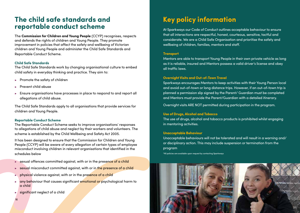### **The child safe standards and reportable conduct scheme**

The **Commission for Children and Young People** (CCYP) recognises, respects and defends the rights of children and Young People. They promote improvement in policies that affect the safety and wellbeing of Victorian children and Young People and administer the Child Safe Standards and Reportable Conduct Scheme.

#### **Child Safe Standards**

The Child Safe Standards work by changing organisational culture to embed child safety in everyday thinking and practice. They aim to:

- ► Promote the safety of children
- ► Prevent child abuse
- ► Ensure organisations have processes in place to respond to and report all allegations of child abuse.

The Child Safe Standards apply to all organisations that provide services for children and Young People.

#### **Reportable Conduct Scheme**

The Reportable Conduct Scheme seeks to improve organisations' responses to allegations of child abuse and neglect by their workers and volunteers. The scheme is established by the Child Wellbeing and Safety Act 2005.

It has been designed to ensure that the Commission for Children and Young People (CCYP) will be aware of every allegation of certain types of employee misconduct involving children in relevant organisations that identified in the schedules below

- ► sexual offences committed against, with or in the presence of a child
- ► sexual misconduct committed against, with or in the presence of a child
- ► physical violence against, with or in the presence of a child
- ► any behaviour that causes significant emotional or psychological harm to a child
- ► significant neglect of a child

16

## **Key policy information**

At Sparkways our Code of Conduct outlines acceptable behaviour to ensure that all interactions are respectful, honest, courteous, sensitive, tactful and considerate. We are a Child Safe Organisation and prioritise the safety and wellbeing of children, families, mentors and staff.

#### **Transport**

Mentors are able to transport Young People in their own private vehicle as long as it is reliable, insured and Mentors possess a valid driver's license and obey all traffic laws.

#### **Overnight Visits and Out-of-Town Travel**

Sparkways encourages Mentors to keep activities with their Young Person local and avoid out-of-town or long distance trips. However, if an out-of-town trip is planned a permission slip signed by the Parent/ Guardian must be completed and Mentors must provide the Parent/Guardian with a detailed itinerary.

Overnight visits ARE NOT permitted during participation in the program.

#### **Use of Drugs, Alcohol and Tobacco**

The use of drugs, alcohol and tobacco products is prohibited whilst engaging in mentoring activities.

#### **Unacceptable Behaviour**

Unacceptable behaviours will not be tolerated and will result in a warning and/ or disciplinary action. This may include suspension or termination from the program

\*All policies are available upon request by contacting Sparkways

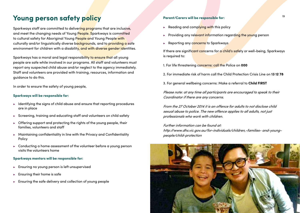## **Young person safety policy**

Sparkways staff are committed to delivering programs that are inclusive, and meet the changing needs of Young People. Sparkways is committed to cultural safety for Aboriginal Young People and Young People with culturally and/or linguistically diverse backgrounds, and to providing a safe environment for children with a disability, and with diverse gender identities.

Sparkways has a moral and legal responsibility to ensure that all young people are safe while involved in our programs. All staff and volunteers must report any suspected child abuse and/or neglect to the agency immediately. Staff and volunteers are provided with training, resources, information and guidance to do this.

In order to ensure the safety of young people,

#### **Sparkways will be responsible for:**

- ► Identifying the signs of child abuse and ensure that reporting procedures are in place
- ► Screening, training and educating staff and volunteers on child safety
- ► Offering support and protecting the rights of the young people, their families, volunteers and staff
- ► Maintaining confidentiality in line with the Privacy and Confidentiality Policy
- ► Conducting a home assessment of the volunteer before a young person visits the volunteers home

### **Sparkways mentors will be responsible for:**

- ► Ensuring no young person is left unsupervised
- Ensuring their home is safe
- ► Ensuring the safe delivery and collection of young people

#### **Parent/Carers will be responsible for:**

- ► Reading and complying with this policy
- ► Providing any relevant information regarding the young person
- ► Reporting any concerns to Sparkways

If there are significant concerns for a child's safety or well-being, Sparkways is required to:

1. For life threatening concerns: call the Police on **000**

- 2. For immediate risk of harm call the Child Protection Crisis Line on **13 12 78**
- 3. For general wellbeing concerns: Make a referral to **Child FIRST**

Please note: at any time all participants are encouraged to speak to their Coordinator if there are any concerns.

From the 27 October 2014 it is an offence for adults to not disclose child sexual abuse to police. The new offence applies to all adults, not just professionals who work with children.

Further information can be found at: http://www.dhs.vic.gov.au/for-individuals/children,-families- and-youngpeople/child-protection

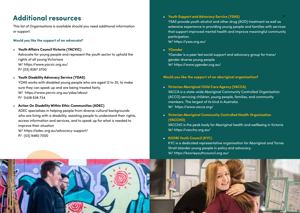## <sup>21</sup> **Additional resources**

This list of Organisations is available should you need additional information or support.

#### **Would you like the support of an advocate?**

► **Youth Affairs Council Victoria (YACVIC)**

Advocate for young people and represent the youth sector to uphold the rights of all young Victorians W/ https://www.yacvic.org.au/ P/ (03) 9267 3700

#### ► **Youth Disability Advocacy Service (YDAS)**

YDAS works with disabled young people who are aged 12 to 25, to make sure they can speak up and are being treated fairly. W/ https://www.yacvic.org.au/ydas/about P/ 0438 638 734

► **Action On Disability Within Ethic Communities (ADEC)** ADEC specialises in helping people from diverse cultural backgrounds who are living with a disability, assisting people to understand their rights, access information and services, and to speak up for what is needed to improve their situation

W/ https://adec.org.au/advocacy-support/ P/ (03) 9480 7000

► **Youth Support and Advocacy Service (YSAS)** YSAS provide youth alcohol and other drug (AOD) treatment as well as

extensive experience in providing young people and families with services that support improved mental health and improve meaningful community participation.

W/ https://ysas.org.au/

► **YGender**

YGender is a peer led social support and advocacy group for trans/ gender diverse young people W/ https://www.ygender.org.au/

#### **Would you like the support of an aboriginal organisation?**

- ► **Victorian Aboriginal Child Care Agency (VACCA)**  VACCA is a state-wide Aboriginal Community Controlled Organisation (ACCO) servicing children, young people, families, and community members. The largest of its kind in Australia. W/ https://www.vacca.org/
- ► **Victorian Aboriginal Community Controlled Health Organisation (VACCHO)**

VACCHO is the peak body for Aboriginal health and wellbeing in Victoria W/ https://vaccho.org.au/

#### ► **KOORI Youth Council (KYC)**

KYC is a dedicated representative organisation for Aboriginal and Torres Strait Islander young people in policy and advocacy. W/ https://koorieyouthcouncil.org.au/

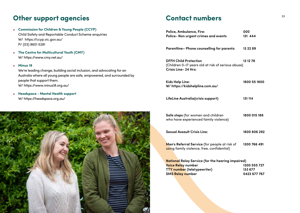## **Other support agencies and all contact numbers**  $\frac{23}{2}$

- ► **Commission for Children & Young People (CCYP)**  Child Safety and Reportable Conduct Scheme enquiries W/ https://ccyp.vic.gov.au/ P/ (03) 8601 5281
- ► **The Centre for Multicultural Youth (CMY)** W/ https://www.cmy.net.au/

#### ► **Minus 18**

We're leading change, building social inclusion, and advocating for an Australia where all young people are safe, empowered, and surrounded by people that support them. W/ https://www.minus18.org.au/

► **Headspace - Mental Health support** W/ https://headspace.org.au/



### **Contact numbers**

| Police, Ambulance, Fire:<br>Police- Non urgent crimes and events                                                 | 000<br>131 444 |  |
|------------------------------------------------------------------------------------------------------------------|----------------|--|
| Parentline- Phone counselling for parents:                                                                       | 13 22 89       |  |
| <b>DFFH Child Protection</b><br>(Children 0-17 years old at risk of serious abuse)<br><b>Crisis Line-24 Hrs:</b> | 13 12 78       |  |
| Kids Help Line:<br>W/https://kidshelpline.com.au/                                                                | 1800 55 1800   |  |
| LifeLine Australia(crisis support)                                                                               | 131 114        |  |
| Safe steps (for women and children<br>who have experienced family violence)                                      | 1800 015 188   |  |
| <b>Sexual Assault Crisis Line:</b>                                                                               | 1800 806 292   |  |
| Men's Referral Service (for people at risk of<br>using family violence, free, confidential)                      | 1300 766 491   |  |
| <b>National</b> Relay Service (for the hearing impaired)                                                         |                |  |
| Voice Relay number                                                                                               | 1300 555 727   |  |

**TTY** number (teletypewriter) 133 677 **SMS Relay number** 0423 677 767